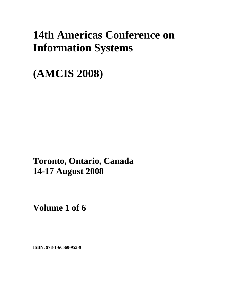# **14th Americas Conference on Information Systems**

**(AMCIS 2008)** 

**Toronto, Ontario, Canada 14-17 August 2008**

**Volume 1 of 6** 

**ISBN: 978-1-60560-953-9**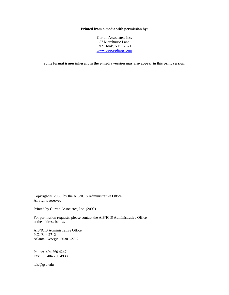#### **Printed from e-media with permission by:**

Curran Associates, Inc. 57 Morehouse Lane Red Hook, NY 12571 **[www.proceedings.com](http://www.proceedings.com/)**

**Some format issues inherent in the e-media version may also appear in this print version.** 

Copyright© (2008) by the AIS/ICIS Administrative Office All rights reserved.

Printed by Curran Associates, Inc. (2009)

For permission requests, please contact the AIS/ICIS Administrative Office at the address below.

AIS/ICIS Administrative Office P.O. Box 2712 Atlanta, Georgia 30301-2712

Phone: 404 760 4247 Fax: 404 760 4938

icis@gsu.edu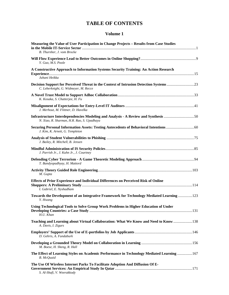## **TABLE OF CONTENTS**

| Measuring the Value of User Participation in Change Projects - Results from Case Studies<br>B. Thurnher, J. vom Brocke           |  |
|----------------------------------------------------------------------------------------------------------------------------------|--|
| Y. Guo. M.S. Poole                                                                                                               |  |
| A Constructive Approach to Information Systems Security Training: An Action Research<br>Juhani Heikka                            |  |
| Decision Support for Perceived Threat in the Context of Intrusion Detection Systems23<br>C. Leberknight, G. Widmeyer, M. Recce   |  |
| K. Kosaka, S. Chatterjee, H. Fu                                                                                                  |  |
| J. Merhout, M. Flittner, D. Havelka                                                                                              |  |
| Infrastructure Interdependencies Modeling and Analysis - A Review and Synthesis 50<br>N. Xiao, R. Sharman, H.R. Rao, S. Upadhaya |  |
| J. Kim, K. Arnett, G. Templeton                                                                                                  |  |
| J. Bailey, R. Mitchell, B. Jensen                                                                                                |  |
| J. Parrish Jr., J. Kuhn Jr., J. Courtney                                                                                         |  |
| T. Bandyopadhyay, H. Mattord                                                                                                     |  |
| M. Gupta                                                                                                                         |  |
| <b>Effects of Prior Experience and Individual Differences on Perceived Risk of Online</b><br>I. Gabriel, E. Nyshadham            |  |
| Towards the Development of an Integrative Framework for Technology Mediated Learning  123<br>Y. Hwang                            |  |
| Using Technological Tools to Solve Group Work Problems in Higher Education of Under<br>H.U. Khan                                 |  |
| Teaching and Learning about Virtual Collaboration: What We Know and Need to Know  138<br>A. Davis, I. Zigurs                     |  |
| D. Gehris, A. Fundaburk                                                                                                          |  |
| M. Boese, H. Sheng, R. Hall                                                                                                      |  |
| The Effect of Learning Styles on Academic Performance in Technology Mediated Learning  167<br><b>B.</b> McQuaid                  |  |
| The Use Of Wireless Internet Parks To Facilitate Adoption And Diffusion Of E-<br>S. Al-Shafi, V. Weerakkody                      |  |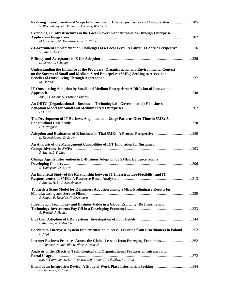| Realising Transformational Stage E-Government: Challenges, Issues and Complexities 185<br>V. Weerakkody, G. Dhillon, Y. Dwivedi, W. Currie                                                      |  |
|-------------------------------------------------------------------------------------------------------------------------------------------------------------------------------------------------|--|
| <b>Extending IT Infrastructures in the Local Government Authorities Through Enterprise</b><br>M.M. Kamal, M. Themistocleous, T. Elliman                                                         |  |
| e-Government Implementation Challenges at a Local Level: A Citizen's Centric Perspective 216<br>V. Jain, S. Kesar                                                                               |  |
| L. Carter, L. Schaupp                                                                                                                                                                           |  |
| <b>Understanding the Influence of the Providers' Organizational and Environmental Context</b><br>on the Success of Small and Medium Sized Enterprises (SMEs) Seeking to Access the<br>M. Borman |  |
| IT Outsourcing Adoption by Small and Medium Enterprises: A Diffusion of Innovation<br>Abhijit Chaudhury, Pratyush Bharati                                                                       |  |
| An OBTG (Organizational – Business – Technological - Governmental) E-business<br>D.J. Kim                                                                                                       |  |
| The Development of IT Business Alignment and Usage Patterns Over Time in SME: A<br>H.T. Wagner                                                                                                  |  |
| L. Kaewkitipong, D. Brown                                                                                                                                                                       |  |
| An Analysis of the Management Capabilities of ICT Innovation for Sustained<br>S. Shang, L-Y. Liao                                                                                               |  |
| <b>Change Agents Intervention in E-Business Adoption by SMEs: Evidence from a</b><br>S. Thompson, D. Brown                                                                                      |  |
| An Empirical Study of the Relationship between IT Infrastructure Flexibility and IT<br>J. Zhang, H. Li, J. Ziegelmayer                                                                          |  |
| Towards a Stage Model for E-Business Adoption among SMEs: Preliminary Results for<br>S. Magal, P. Kosalge, N. Levenburg                                                                         |  |
| Information Technology and Business Value in a Global Economy: Do Information<br>A. Prasad, J. Heales                                                                                           |  |
| I. Al-Jabri, A. Al-Hadab                                                                                                                                                                        |  |
| Barriers to Enterprise System Implementation Success: Learning from Practitioners in Poland 352<br>P. Soja                                                                                      |  |
| Internet Business Practices Across the Globe: Lessons from Emerging Economies362<br>J. Whitaker, N. Melville, R. Plice, J. Dedrick                                                              |  |
| Analysis of the Effects of Technological and Organizational Features on Intranet and<br>R.B. deCarvalho, M.A.T. Ferreira, C.W. Choo, R.V. daSilva, L.A. Joia                                    |  |
| D. Stenmark, T. Jadaan                                                                                                                                                                          |  |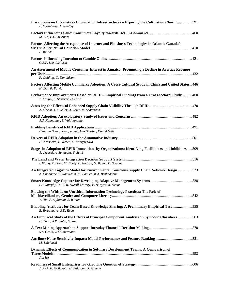| Inscriptions on Intranets as Information Infrastructures – Exposing the Cultivation Chasm 391<br>B. O'Flaherty, J. Whalley                        |  |
|---------------------------------------------------------------------------------------------------------------------------------------------------|--|
| M. Eid, F.U. Al-Anazi                                                                                                                             |  |
| Factors Affecting the Acceptance of Internet and Ebusiness Technologies in Atlantic Canada's<br>P. Ifinedo                                        |  |
| C.B.P. Lee, L.H. Xia                                                                                                                              |  |
| An Assessment of Mobile Consumer Interest in Jamaica: Preempting a Decline in Average Revenue<br>P. Golding, O. Donaldson                         |  |
| Factors Affecting Mobile Commerce Adoption: A Cross-Cultural Study in China and United States446<br>H. Dai, P. Palvia                             |  |
| Performance Improvements Based on RFID - Empirical Findings from a Cross-sectoral Study460<br>T. Faupel, J. Strueker, D. Gille                    |  |
| A. Melski, J. Mueller, A. Zeier, M. Schumann                                                                                                      |  |
| A.S. Kunnathur, S. Vaithianathan                                                                                                                  |  |
| Henning Baars, Xuanpu Sun, Jens Struker, Daniel Gille                                                                                             |  |
| H. Krasnova, L. Weser, L. Ivantysynova                                                                                                            |  |
| Stages in Adoption of RFID Innovations by Organizations: Identifying Facilitators and Inhibitors 509<br>A. Jeyaraj, A. Sengupta, V. Sethi         |  |
| I. Wong, P. Fong, W. Booty, C. Nielsen, G. Benoy, D. Swayne                                                                                       |  |
| An Integrated Logistics Model for Environmental Conscious Supply Chain Network Design 523<br>A. Chaabane, A. Ramudhin, M. Paquet, M.A. Benkaddour |  |
| P.J. Murphy, N. Li, R. Averill-Murray, P. Burgess, n. Strout                                                                                      |  |
| Blowing the Whistle on Unethical Information Technology Practices: The Role of<br>Y. Niu, A. Stylianou, S. Winter                                 |  |
| Enabling Attributes for Team-Based Knowledge Sharing: A Preliminary Empirical Test 555<br>B. Ibragimova, S.D. Ryan                                |  |
| An Empirical Study of the Effects of Principal Component Analysis on Symbolic Classifiers563<br>H. Zhao, A.P. Sinha, S. Ram                       |  |
| S.S. Groth, J. Muntermann                                                                                                                         |  |
| M. Sidahmed                                                                                                                                       |  |
| Dynamic Effects of Communication in Software Development Teams: A Comparison of<br>Jun He                                                         |  |
| J. Pick, K. Gollakota, H. Falatoon, R. Greene                                                                                                     |  |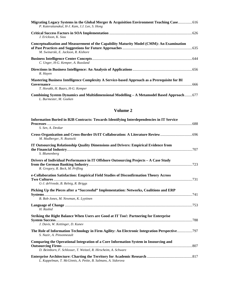| P. Katerattanakul, H-J. Kam, J.J. Lee, S. Hong                                                                                   |  |
|----------------------------------------------------------------------------------------------------------------------------------|--|
| J. Erickson, K. Siau                                                                                                             |  |
| Conceptualization and Measurement of the Capability Maturity Model (CMM): An Examination<br>M. Swinarski, E. Jackson, R. Kishore |  |
| C. Unger, H-G. Kemper, A. Russland                                                                                               |  |
| R. Hayen                                                                                                                         |  |
| Mastering Business Intelligence Complexity A Service-based Approach as a Prerequisite for BI<br>T. Horakh, H. Baars, H-G. Kemper |  |
|                                                                                                                                  |  |

|                         | Combining System Dynamics and Multidimensional Modelling - A Metamodel Based Approach  677 |  |
|-------------------------|--------------------------------------------------------------------------------------------|--|
| L. Burmester, M. Goeken |                                                                                            |  |

| Information Buried in B2B Contracts: Towards Identifying Interdependencies in IT Service                                                                |  |
|---------------------------------------------------------------------------------------------------------------------------------------------------------|--|
| S. Sen, A. Deokar                                                                                                                                       |  |
| M. Madberger, N. Roztocki                                                                                                                               |  |
| IT Outsourcing Relationship Quality Dimensions and Drivers: Empirical Evidence from<br>S. Blumenberg                                                    |  |
| Drivers of Individual Performance in IT Offshore Outsourcing Projects - A Case Study<br>R. Gregory, R. Beck, M. Prifling                                |  |
| e-Collaboration Satisfaction: Empirical Field Studies of Disconfirmation Theory Across<br>G-J. deVreede, B. Relnig, R. Briggs                           |  |
| Picking Up the Pieces after a "Successful" Implementation: Networks, Coalitions and ERP                                                                 |  |
| B. Bob-Jones, M. Newman, K. Lyytinen<br>H. Rashid                                                                                                       |  |
| Striking the Right Balance When Users are Good at IT Too!: Partnering for Enterprise<br>J. Davis, W. Kettinger, D. Kunev                                |  |
| The Role of Information Technology in Firm Agility: An Electronic Integration Perspective797<br>S. Nazir, A. Pinsonneault                               |  |
| Comparing the Operational Integration of a Core Information System in Insourcing and<br>D. Beimborn, F. Schlosser, T. Weitzel, R. Hirscheim, A. Schwarz |  |
| L. Kappelman, T. McGinnis, A. Petite, B. Salmans, A. Sidorova                                                                                           |  |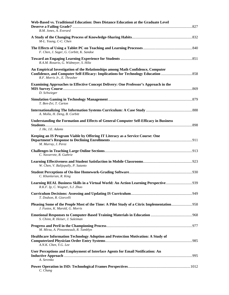| Web-Based vs. Traditional Education: Does Distance Education at the Graduate Level<br>B.M. Jones, A. Everard                 |  |
|------------------------------------------------------------------------------------------------------------------------------|--|
| M-L. Young, C-C. Chen                                                                                                        |  |
| F. Chen, J. Sager, G. Corbitt, K. Sandoe                                                                                     |  |
| R.A.M. Rosario, G. Widmeyer, S. Hiltz                                                                                        |  |
| An Empirical Investigation of the Relationships among Math Confidence, Computer<br>R.F. Morris Jr., E. Thrasher              |  |
| <b>Examining Approaches to Effective Concept Delivery: One Professor's Approach in the</b><br>D. Schwieger                   |  |
| T. Ben-Zvi. T. Carton                                                                                                        |  |
| A. Molla, H. Deng, B. Corbitt                                                                                                |  |
| <b>Understanding the Formation and Effects of General Computer Self-Efficacy in Business</b>                                 |  |
| J. He, J.E. Adams                                                                                                            |  |
| Keeping an IS Program Viable by Offering IT Literacy as a Service Course: One<br>M. Murray, J. Perez                         |  |
| C. Navarrete, R. Guthrie                                                                                                     |  |
| W. Chen, V. Balijepally, P. Sutanto                                                                                          |  |
| C. Khanlarian, R. King                                                                                                       |  |
| Learning REAL Business Skills in a Virtual World: An Action Learning Perspective<br>R.K.F. Ip, C. Wagner, S.J. Zhao          |  |
| T. Dodson, R. Giorcelli                                                                                                      |  |
| Pleasing Some of the People Most of the Time: A Pilot Study of a Citrix Implementation958<br>J. Fustos, K. Marold, G. Morris |  |
| S. Chinn, R. Heiser, J. Suleiman                                                                                             |  |
| M. Mirza, A. Pinsonneault, R. Tamblyn                                                                                        |  |
| Healthcare Information Technology Adoption and Protection Motivation: A Study of<br>A.N.K. Chen, Y.G. Lee                    |  |
| User Perceptions and Employment of Interface Agents for Email Notification: An<br>A. Serenko                                 |  |
| C. Chang                                                                                                                     |  |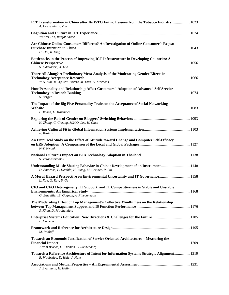| ICT Transformation in China after Its WTO Entry: Lessons from the Tobacco Industry  1023<br>A. Hochstein, Y. Zhu                      |  |
|---------------------------------------------------------------------------------------------------------------------------------------|--|
| Weiwei Tan, Raafat Saade                                                                                                              |  |
| Are Chinese Online Consumers Different? An Investigation of Online Consumer's Repeat<br>H. Dai, R. King                               |  |
| Bottlenecks in the Process of Improving ICT Infrastructure in Developing Countries: A<br>S. Akkaladevi, X. Luo                        |  |
| There All Along? A Preliminary Meta-Analysis of the Moderating Gender Effects in<br>W.N. Sun, M. Aguirre-Urreta, M. Ellis, G. Marakas |  |
| How Personality and Relationship Affect Customers' Adoption of Advanced Self Service<br>S. Berger                                     |  |
| The Impact of the Big Five Personality Traits on the Acceptance of Social Networking                                                  |  |
| P. Rosen, D. Kluember                                                                                                                 |  |
| K. Zhang, C. Cheung, M.K.O. Lee, H. Chen                                                                                              |  |
| E. Brainin                                                                                                                            |  |
| An Empirical Study on the Effect of Attitude toward Change and Computer Self-Efficacy<br>K-Y. Kwahk                                   |  |
| S. Vatanasakdakul                                                                                                                     |  |
| Understanding Music Sharing Behavior in China: Development of an Instrument1148<br>D. Amoroso, P. Dembla, H. Wang, M. Greiner, P. Liu |  |
| A Moral Hazard Perspective on Environmental Uncertainty and IT Governance1158<br>L. Xue, G. Ray, B. Gu                                |  |
| CIO and CEO Heterogeneity, IT Support, and IT Competitiveness in Stable and Unstable<br>G. Bassellier, E. Gagnon, A. Pinsonneault     |  |
| The Moderating Effect of Top Management's Collective Mindfulness on the Relationship<br>S. Khan, D. Mirchandani                       |  |
| <b>Enterprise Systems Education: New Directions &amp; Challenges for the Future 1185</b><br><b>B.</b> Cameron                         |  |
| M. Rohloff                                                                                                                            |  |
| Towards an Economic Justification of Service Oriented Architectures - Measuring the<br>J. vom Brocke, O. Thomas, C. Sonnenberg        |  |
| Towards a Reference Architecture of Intent for Information Systems Strategic Alignment1219<br>R. Woolridge, D. Hale, J. Hale          |  |
| J. Evermann, H. Halimi                                                                                                                |  |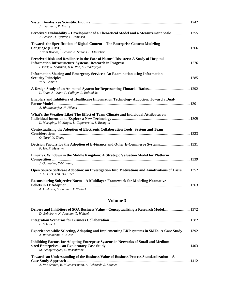| J. Evermann, R. Mistry                                                                                                                 |  |
|----------------------------------------------------------------------------------------------------------------------------------------|--|
| Perceived Evaluability - Development of a Theoretical Model and a Measurement Scale 1255<br>J. Becker, D. Pfeiffer, C. Janiesch        |  |
| Towards the Specification of Digital Content - The Enterprise Content Modeling                                                         |  |
| J. vom Brocke, J Becker, A. Simons, S. Fleischer                                                                                       |  |
| Perceived Risk and Resilience in the Face of Natural Disasters: A Study of Hospital<br>I. Park, R. Sharman, H.R. Rao, S. Upadhyaya     |  |
| <b>Information Sharing and Emergency Services: An Examination using Information</b><br>W.A. Conklin                                    |  |
| L. Zhao, J. Grant, F. Collopy, R. Boland Jr.                                                                                           |  |
| Enablers and Inhibitors of Healthcare Information Technology Adoption: Toward a Dual-<br>A. Bhattacherjee, N. Hikmet                   |  |
| What's the Weather Like? The Effect of Team Climate and Individual Attributes on<br>L. Maruping, M. Magni, L. Caporarello, S. Basaglia |  |
| Contextualizing the Adoption of Electronic Collaboration Tools: System and Team<br>O. Turel, Y. Zhang                                  |  |
| Decision Factors for the Adoption of E-Finance and Other E-Commerce Systems1331<br>F. He, P. Mykytyn                                   |  |
| Linux vs. Windows in the Middle Kingdom: A Strategic Valuation Model for Platform<br>J. Gallagher, Y-M. Wang                           |  |
| Open Source Software Adoption: an Investigation Into Motivations and Amotivations of Users 1352<br>Y. Li, C-H. Tan, H-H. Teo           |  |
| Reconsidering Subjective Norm - A Multilayer-Framework for Modeling Normative<br>A. Eckhardt, S. Laumer, T. Weitzel                    |  |

| Drivers and Inhibitors of SOA Business Value – Conceptualizing a Research Model1372<br>D. Beimborn, N. Joachim, T. Weitzel                         |  |
|----------------------------------------------------------------------------------------------------------------------------------------------------|--|
| P. Schubert                                                                                                                                        |  |
| <b>Experiences while Selecting, Adapting and Implementing ERP systems in SMEs: A Case Study1392</b><br>A. Winkelmann, K. Klose                     |  |
| Inhibiting Factors for Adopting Enterprise Systems in Networks of Small and Medium-<br>M. Schafermeyer, C. Rosenkranz                              |  |
| Towards an Understanding of the Business Value of Business Process Standardization $-A$<br>A. Von Stetten, B. Muenstermann, A. Eckhardt, S. Laumer |  |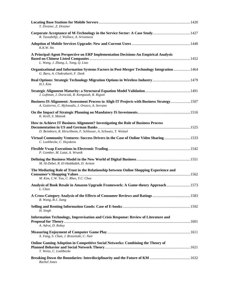| T. Drezner, Z. Drezner                                                                                                                               |  |
|------------------------------------------------------------------------------------------------------------------------------------------------------|--|
| R. Tassabehji, J. Wallace, A. Srivastava                                                                                                             |  |
| K.K.W. Ho                                                                                                                                            |  |
| A Principal-Agent Perspective on ERP Implementation Decisions-An Empirical Analysis<br>L. Wang, J. Zhang, L. Yang, Q. Liao                           |  |
| Organizational and Information Systems Factors in Post-Merger Technology Integration  1464<br>G. Baro, A. Chakrabarti, F. Deek                       |  |
| Real Options: Strategic Technology Migration Options in Wireless Industry 1479<br>$H.J.$ Kim                                                         |  |
| J. Luftman, J. Dorociak, R. Kempaiah, R. Rigoni                                                                                                      |  |
| Business-IS Alignment: Assessment Process to Aligh IT Projects with Business Strategy 1507<br>A. Gutierrez, C. Mylonadis, J. Orozco, A. Serrano      |  |
| K. Krell, S. Matook                                                                                                                                  |  |
| How to Achieve IT Business Alignment? Investigating the Role of Business Process<br>D. Beimborn, R. Hirschheim, F. Schlosser, A. Schwarz, T. Weitzel |  |
| Virtual Community Ventures: Success Drivers in the Case of Online Video Sharing 1533<br>C. Loebbecke, C. Huyskens                                    |  |
| P. Gomber, M. Lutat, A. Wranik                                                                                                                       |  |
| M. Al-Debei, R. El-Haddadeh, D. Avison                                                                                                               |  |
| The Mediating Role of Trust in the Relationship between Online Shopping Experience and<br>M. Kim, C.W. Yoo, C. Rhee, Y.C. Choe                       |  |
| Analysis of Book Resale in Amazon Upgrade Framework: A Game-theory Approach  1573<br>L. Chen                                                         |  |
| B. Wang, B-J. Jiang                                                                                                                                  |  |
| H. Singh                                                                                                                                             |  |
| Information Technology, Improvisation and Crisis Response: Review of Literature and<br>A. Adrot, D. Robey                                            |  |
| X. Fang, S. Chan, J. Brzezinski, C. Nair                                                                                                             |  |
| Online Gaming Adoption in Competitive Social Networks: Combining the Theory of<br>T. Weiss, C. Loebbecke                                             |  |
| Rachel Jones                                                                                                                                         |  |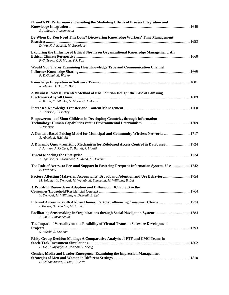| IT and NPD Performance: Unveiling the Mediating Effects of Process Integration and                                                                     |  |
|--------------------------------------------------------------------------------------------------------------------------------------------------------|--|
| S. Addas, A. Pinsonneault                                                                                                                              |  |
| By When Do You Need This Done? Discovering Knowledge Workers' Time Management                                                                          |  |
| D. Wu, K. Passerini, M. Bartolacci                                                                                                                     |  |
| Exploring the Influence of Ethical Norms on Organizational Knowledge Management: An<br>F-C. Tseng, G.F. Wang, Y-J. Fan                                 |  |
|                                                                                                                                                        |  |
| <b>Would You Share? Examining How Knowledge Type and Communication Channel</b><br>P. DiGangi, M. Wasko                                                 |  |
| N. Mehta, D. Hall, T. Byrd                                                                                                                             |  |
| A Business Process Oriented Method of KM Solution Design: the Case of Samsung                                                                          |  |
| P. Baloh, K. Uthicke, G. Moon, C. Jaekwon                                                                                                              |  |
| J. Erickson, J. Brickey                                                                                                                                |  |
| <b>Empowerment of Slum Children in Developing Countries through Information</b><br>V. Vinekar                                                          |  |
| A Content-Based Pricing Model for Municipal and Community Wireless Networks  1717<br>A. Abdelaal, H.H. Ali                                             |  |
| A Dynamic Query-rewriting Mechanism for Rolebased Access Control in Databases  1724<br>J. Jarman, J. McCart, D. Berndt, J. Ligatti                     |  |
| J. Ingalsbe, D. Shoemaker, N. Mead, A. Drommi                                                                                                          |  |
| The Role of Access to Personal Support in Fostering Frequent Information Systems Use  1742<br><b>B.</b> Furneaux                                       |  |
| Factors Affecting Malaysian Accountants' Broadband Adoption and Use Behavior1754<br>M. Selamat, Y. Dwivedi, M. Wahab, M. Samsudin, M. Williams, B. Lal |  |
| A Profile of Research on Adoption and Diffusion of ICT/IT/IS in the                                                                                    |  |
| Y. Dwivedi, M. Williams, A. Dwivedi, B. Lal                                                                                                            |  |
| Internet Access in South African Homes: Factors Influencing Consumer Choice1774<br>I. Brown, B. Letsididi, M. Nazeer                                   |  |
| Facilitating Sensemaking in Organizations through Social Navigation Systems1784<br>J. Wu, A. Pinsonneault                                              |  |
| The Impact of Virtuality on the Flexibility of Virtual Teams in Software Development<br>S. Bakshi, S. Krishna                                          |  |
| Risky Group Decision Making: A Comparative Analysis of FTF and CMC Teams in<br>F. He, P. Mykytyn, J. Pearson, Y. Sheng                                 |  |
| Gender, Media and Leader Emergence: Examining the Impression Management<br>L. Chidambaram, J. Lim, T. Carte                                            |  |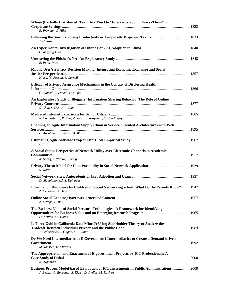| Whose (Partially Distributed) Team Are You On? Interviews about "Us-vs.-Them" in<br>R. Privman, S. Hiltz                                                      |  |
|---------------------------------------------------------------------------------------------------------------------------------------------------------------|--|
| J. Colazo                                                                                                                                                     |  |
| Guangying Hua                                                                                                                                                 |  |
| B. Perez-Mira                                                                                                                                                 |  |
| Mobile User's Privacy Decision Making: Integrating Economic Exchange and Social<br>H. Xu, M. Rosson, J. Carroll                                               |  |
| <b>Efficacy of Privacy Assurance Mechanisms in the Context of Disclosing Health</b><br>G. Bansal, F. Zahedi, D. Gefen                                         |  |
| An Exploratory Study of Bloggers' Information Sharing Behavior: The Role of Online<br>S. Chai, S. Das, H.R. Rao                                               |  |
| R. Chakraborty, R. Rao, V. Sankaranarayanan, S. Upadhyyaya                                                                                                    |  |
| Enabling an Agile Information Supply Chain in Service Oriented Architectures with Web<br>C. Abraham, I. Junglas, M. Willis                                    |  |
| L. Cao                                                                                                                                                        |  |
| A Social Status Perspective of Network Utility over Electronic Channels in Academic<br>K. Sherif, J. Wilcox, J. Song                                          |  |
| S. Weiss                                                                                                                                                      |  |
| D. Sledgianowski, S. Kulviwat                                                                                                                                 |  |
| Information Disclosure by Children in Social Networking - And, What Do the Parents Know?  1947<br>Z. DeSouza, G. Dick                                         |  |
| A. Ortega, F. Bell                                                                                                                                            |  |
| The Business Value of Social Network Technologies: A Framework for Identifying<br>D. Kettles, J.S. David                                                      |  |
| Is There Gold in California Data Mines?: Using Stakeholder Theory to Analyze the<br>J. Fedorowicz, J. Gogan, M. Culnan                                        |  |
| Do We Need Intermediaries in E-Government? Intermediaries to Create a Demand-driven<br>M. Janssen, B. Klievink                                                |  |
| The Appropriation and Enactment of E-government Projects by ICT Professionals: A<br>N. Alghatam                                                               |  |
| <b>Business Process Model-based Evaluation of ICT Investments in Public Administrations 2009</b><br>J. Becker, P. Bergener, S. Kleist, D. Pfeifer, M. Rackers |  |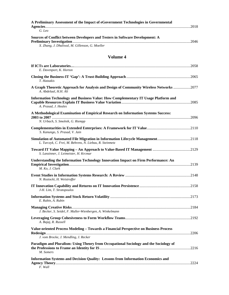| A Preliminary Assessment of the Impact of eGovernment Technologies in Governmental |  |
|------------------------------------------------------------------------------------|--|
|                                                                                    |  |
| G. Leo                                                                             |  |
| Sources of Conflict between Developers and Testers in Software Development: A      |  |
|                                                                                    |  |
| X. Zhang, J. Dhaliwal, M. Gillenson, G. Moeller                                    |  |

| E. Davenport, K. Horton                                                                                                                    |  |
|--------------------------------------------------------------------------------------------------------------------------------------------|--|
|                                                                                                                                            |  |
| T. Hatzakis                                                                                                                                |  |
| A Graph Theoretic Approach for Analysis and Design of Community Wireless Networks 2077<br>A. Abdelaal, H.H. Ali                            |  |
| <b>Information Technology and Business Value: How Complementary IT Usage Platform and</b><br>A. Prasad, J. Heales                          |  |
| A Methodological Examination of Empirical Research on Information Systems Success:<br>N. Urbach, S. Smolnik, G. Riempp                     |  |
| S. Kanungo, S. Prasad, V. Jain                                                                                                             |  |
| Simulation of Automated File Migration in Information Lifecycle Management2118<br>L. Turczyk, C. Frei, M. Behrens, N. Liebau, R. Steinmetz |  |
| S. Lanzinner, J. Leimeister, H. Krcmar                                                                                                     |  |
| Understanding the Information Technology Innovation Impact on Firm Performance: An<br>M. Ko. J. Clark                                      |  |
| N. Roztocki, H. Weistroffer                                                                                                                |  |
| J-H. Lim, T. Stratopoulos                                                                                                                  |  |
| E. Rubin, A. Rubin                                                                                                                         |  |
| J. Becker, S. Seidel, F. Muller-Wienbergen, A. Winkelmann                                                                                  |  |
| A. Bajaj, R. Russell                                                                                                                       |  |
| Value-oriented Process Modeling - Towards a Financial Perspective on Business Process<br>J. vom Brocke, J. Mendling, J. Recker             |  |
| Paradigm and Pluralism: Using Theory from Occupational Sociology and the Sociology of<br>M. Somers                                         |  |
| Information Systems and Decision Quality: Lessons from Information Economics and<br>F. Wall                                                |  |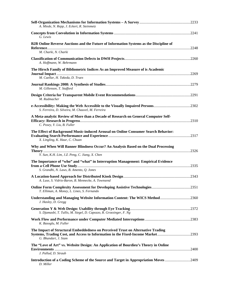| A. Miede, N. Repp, J. Eckert, R. Steinmetz                                                                                                                                                 |  |
|--------------------------------------------------------------------------------------------------------------------------------------------------------------------------------------------|--|
| G. Lewis                                                                                                                                                                                   |  |
| B2B Online Reverse Auctions and the Future of Information Systems as the Discipline of<br>M. Charki, N. Charki                                                                             |  |
| A. Hoffmann, W. Behrmann                                                                                                                                                                   |  |
| The Hirsch Family of Bibliometric Indices As an Improved Measure of is Academic<br>M. Cuellar, H. Takeda, D. Truex                                                                         |  |
| M. Gillenson, T. Stafford                                                                                                                                                                  |  |
| M. Radmacher                                                                                                                                                                               |  |
| e-Accessibility: Making the Web Accessible to the Visually Impaired Persons2302<br>S. Ferreira, D. Silveira, M. Chauvel, M. Ferreira                                                       |  |
| A Meta-analytic Review of More than a Decade of Research on General Computer Self-<br>C. Posey, Y. Liu, B. Fuller                                                                          |  |
| The Effect of Background Music-induced Arousal on Online Consumer Search Behavior:<br>X. Lingling, K. Haur, C. Chuan                                                                       |  |
| Why and When Will Banner Blindness Occur? An Analysis Based on the Dual Processing<br>Y. Sun, K.H. Lim, J.Z. Peng, C. Jiang, X. Chen                                                       |  |
| The Importance of "who" and "what" in Interruption Management: Empirical Evidence<br>S. Grandhi, N. Laws, B. Amento, Q. Jones                                                              |  |
| A. Luse, S. Vidrio-Baron, B. Mennecke, A. Townsend                                                                                                                                         |  |
| <b>Online Form Complexity Assessment for Developing Assistive Technologies2351</b><br>T. Elliman, A. Money, L. Lines, S. Fernando                                                          |  |
| Understanding and Managing Website Information Content: The WICS Method2360<br>J. Hasley, D. Gregg                                                                                         |  |
| S. Djamasbi, T. Tullis, M. Siegel, D. Capozzo, R. Groezinger, F. Ng                                                                                                                        |  |
| K. Basoglu, M. Fuller                                                                                                                                                                      |  |
| The Impact of Structural Embeddedness on Perceived Trust on Alternative Trading<br>Systems, Trading Cost, and Access to Information in the Fixed-Income Market2393<br>G. Bhandari, J. Siam |  |
| The "Love of Art" vs. Website Design: An Application of Bourdieu's Theory in Online<br>J. Pallud, D. Straub                                                                                |  |
| Introduction of a Coding Scheme of the Source and Target in Appropriation Moves 2409<br>D. Miller                                                                                          |  |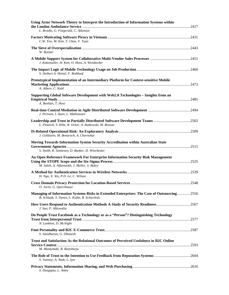| Using Actor Network Theory to Interpret the Introduction of Information Systems within<br>L. Brooks, G. Fitzgerald, C. Atkinson             |  |
|---------------------------------------------------------------------------------------------------------------------------------------------|--|
| C.W. Yoo, M. Kim, Y. Choe, V. Tuan                                                                                                          |  |
| W. Bonner                                                                                                                                   |  |
| J. Kokemuller, H. Kett, O. Hoss, A. Weisbecker                                                                                              |  |
| S. Deibert A. Heinzl, F. Rothlauf                                                                                                           |  |
| Prototypical Implementation of an Intermediary Platform for Context-sensitive Mobile<br>A. Albers, C. Kahl                                  |  |
| Supporting Global Software Development with Web2.0 Technologies - Insights from an<br>A. Benlian, T. Hess                                   |  |
| J. Persson, I. Aaen, L. Mathiassen                                                                                                          |  |
| Leadership and Trust in Partially Distributed Software Development Teams 2502<br>L. Plotnick, S. Hiltz, R. Ocker, A. Rutkowski, M. Rosson   |  |
| J. Goldstein, M. Benaroch, A. Chernobai                                                                                                     |  |
| Moving Towards Information System Security Accreditation within Australian State<br>S. Smith, R. Jamieson, D. Bunker, D. Winchester         |  |
| An Open Reference Framework For Enterprise Information Security Risk Management<br>M. Saleh, A. Alfantookh, J. Mellor, S. Bakry             |  |
| H. Ngo, X. Wu, P.D. Le, C. Wilson                                                                                                           |  |
| O. Jorns, G. Quirchmayr                                                                                                                     |  |
| Managing of Information Systems Risks in Extended Enterprises: The Case of Outsourcing2556<br>B. Schlaak, S. Dynes, L. Kolbe, R. Schierholz |  |
| How Users Respond to Authentication Methods A Study of Security Readiness2567<br>J. Sun, P. Ahluwalia                                       |  |
| Do People Trust Facebook as a Technology or as a "Person"? Distinguishing Technology<br>N. Lankton, D. McNight                              |  |
| S. Sasidharan, G. Dhanesh                                                                                                                   |  |
| Trust and Satisfaction As the Relational Outcomes of Perceived Usefulness in B2C Online<br>M. Mantymaki, R. Raitoharju                      |  |
| The Role of Trust in the Intention to Use Feedback from Reputation Systems 2604<br>S. Vannoy, A. Nath, L. Iyer                              |  |
| S. Dasgupta, L. Amey                                                                                                                        |  |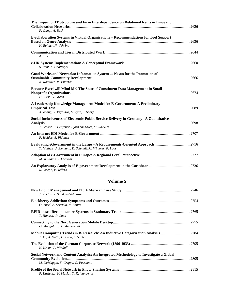| The Impact of IT Structure and Firm Interdependency on Relational Rents in Innovation<br>P. Gangi, A. Bush                                                                       |  |
|----------------------------------------------------------------------------------------------------------------------------------------------------------------------------------|--|
| <b>E-collaboration Systems in Virtual Organizations – Recommendations for Tool Support</b><br>K. Reimer, N. Vehring                                                              |  |
| A. Tay                                                                                                                                                                           |  |
| S. Pant, A. Chatterjee                                                                                                                                                           |  |
| Good Works and Networks: Information System as Nexus for the Promotion of<br>Sustainable Community Development manufactured and the community of 2666<br>N. Ramiller, M. Pullman |  |
| Because Excel will Mind Me! The State of Constituent Data Management in Small<br>H. West, G. Green                                                                               |  |
| A Leadership Knowledge Management Model for E-Government: A Preliminary<br>X. Zhang, V. Prybutok, S. Ryan, J. Sharp                                                              |  |
| Social Inclusiveness of Electronic Public Service Delivery in Germany -A Quantitative<br>J. Becker, P. Bergener, Bjorn Niehaves, M. Rackers                                      |  |
| F. Holder, A. Pidduck                                                                                                                                                            |  |
| T. Matheis, J. Ziemann, D. Schmidt, M. Wimmer, P. Loos                                                                                                                           |  |
| M. Williams, Y. Dwivedi                                                                                                                                                          |  |
| R. Joseph, P. Jeffers                                                                                                                                                            |  |

| J. Vilchis, R. Sandoval-Almazan                                                                                                |  |
|--------------------------------------------------------------------------------------------------------------------------------|--|
| O. Turel, A. Serenko, N. Bontis                                                                                                |  |
| T. Hansen, P. Loos                                                                                                             |  |
| G. Mangalaraj, C. Amaravadi                                                                                                    |  |
| Mobile Computing Trends in IS Research: An Inductive Categorization Analysis2784<br>Y. Yu, A. Datta, D. Ladd, S. Sarker        |  |
| K. Krenn, P. Windolf                                                                                                           |  |
| Social Network and Content Analysis: An Integrated Methodology to Investigate a Global<br>M. DeMaggio, F. Grippa, G. Passiante |  |
| P. Kazienko, K. Musial, T. Kajdanowicz                                                                                         |  |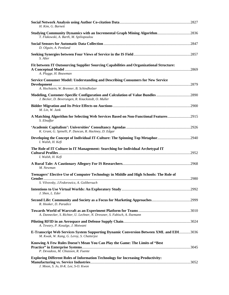| H. Kim, G. Barnett                                                                                                                    |  |
|---------------------------------------------------------------------------------------------------------------------------------------|--|
| Studying Community Dynamics with an Incremental Graph Mining Algorithm2836<br>T. Flakowski, A. Barth, M. Spiliopoulou                 |  |
| D. Olguin, A. Pentland                                                                                                                |  |
| S. Alter                                                                                                                              |  |
| Fit between IT Outsourcing Supplier Sourcing Capabilities and Organizational Structure:<br>A. Plugge, H. Bouwman                      |  |
| Service Consumer Model: Understanding and Describing Consumers for New Service<br>A. Hochstein, W. Brenner, B. Schindholzer           |  |
| Modeling, Customer-Specific Configuration and Calculation of Value Bundles 2890<br>J. Becker, D. Beverungen, R. Knackstedt, O. Muller |  |
| M. Lin, W. Jank                                                                                                                       |  |
| A Matching Algorithm for Selecting Web Services Based on Non-Functional Features2915<br>S. Elnaffar                                   |  |
| K. Grant, G. Spinelli, P. Duncan, R. Hackney, D. Edgar                                                                                |  |
| Developing the Concept of Individual IT-Culture: The Spinning Top Metaphor2940<br>I. Walsh, H. Kefi                                   |  |
| The Role of IT Culture in IT Management: Searching for Individual Archetypal IT<br>I. Walsh, H. Kefi                                  |  |
| M. Newman                                                                                                                             |  |
| Teenagers' Elective Use of Computer Technology in Middle and High Schools: The Role of<br>S. Vilvovsky, J.Fedorowicz, A. Golibersuch  |  |
| J. Shen, L. Eder                                                                                                                      |  |
| R. Hooker, D. Paradice                                                                                                                |  |
| A. Dannecker, S. Richter, U. Lechner, N. Dressner, S. Fabisch, A. Ilsemann                                                            |  |
| A. Tewary, P. Kosalge, J. Motwani                                                                                                     |  |
| E-Transcript Web Services System Supporting Dynamic Conversion Between XML and EDI3036<br>M. Kwak, W. Kang, G. Leroy, S. Chatterjee   |  |
| Knowing A Few Rules Doesn't Mean You Can Play the Game: The Limits of "Best"<br>P. Devadoss, M. Chiasson, R. Fuente                   |  |
| <b>Exploring Different Roles of Information Technology for Increasing Productivity:</b><br>J. Moon, S. Jo, H-K. Lee, S-O. Kwon        |  |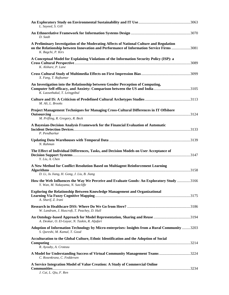| L. Sayeed, S. Gill                                                                                                                                                                                         |
|------------------------------------------------------------------------------------------------------------------------------------------------------------------------------------------------------------|
| D. Saab                                                                                                                                                                                                    |
| A Preliminary Investigation of the Moderating Affects of National Culture and Regulation<br>on the Relationship between Innovation and Performance of Information Service Firms 3081<br>K. Bagchi, P. Kirs |
| A Conceptual Model for Explaining Violations of the Information Security Policy (ISP): a<br>K. Alshare, P. Lane                                                                                            |
| X. Fang, T. Rajkumar                                                                                                                                                                                       |
| An Investigation into the Relationship between Gender Perception of Computing,<br>Computer Self-efficacy, and Anxiety: Comparison between the US and India3105<br>K. Laosethakul, T. Leingpibul            |
| M. Ali, L. Brooks                                                                                                                                                                                          |
| Project Management Techniques for Managing Cross-Cultural Differences in IT Offshore<br>M. Prifling, R. Gregory, R. Beck                                                                                   |
| A Bayesian-Decision Analysis Framework for the Financial Evaluation of Automatic<br>P. Pendharkar                                                                                                          |
| N. Rahman                                                                                                                                                                                                  |
| The Effect of Individual Differences, Tasks, and Decision Models on User Acceptance of<br>Y. Liu, A. Chen                                                                                                  |
| A New Method for Conflict Resolution Based on Multiagent Reinforcement Learning<br>D. Li, Ju Jiang, H. Gong, J. Liu, B. Jiang                                                                              |
| How the Web Influences the Way We Perceive and Evaluate Goods: An Exploratory Study 3166<br>Y. Wan, M. Nakayama, N. Sutcliffe                                                                              |
| <b>Exploring the Relationship Between Knowledge Management and Organizational</b><br>A. Sharif, Z. Irani                                                                                                   |
| W. Landrum, J. Huscroft, T. Peachey, D. Hall                                                                                                                                                               |
| A. Deokar, O. El-Gayar, N. Taskin, R. Aljafari                                                                                                                                                             |
| Adoption of Information Technology by Micro-enterprises: Insights from a Rural Community 3203<br>S. Qureshi, M. Kamal, T. Good                                                                             |
| Acculturation to the Global Culture, Ethnic Identification and the Adoption of Social<br>R. Ayouby, A. Croteau                                                                                             |
| A Model for Understanding Success of Virtual Community Management Teams3224<br>C. Rosenkranz, C. Feddersen                                                                                                 |
| A Service Integration Model of Value Creation: A Study of Commercial Online<br>J. Cai, L. Qiu, F. Ren                                                                                                      |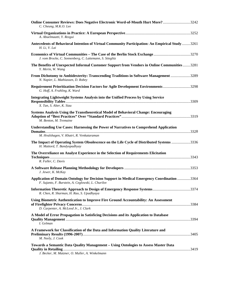| Online Consumer Reviews: Does Negative Electronic Word-of-Mouth Hurt More?3242<br>C. Cheung, M.K.O. Lee                                          |  |
|--------------------------------------------------------------------------------------------------------------------------------------------------|--|
| A. Abuelmaatti, Y. Rezgui                                                                                                                        |  |
| Antecedents of Behavioral Intention of Virtual Community Participation: An Empirical Study3261<br>H. Li, V. Lai                                  |  |
| Economics of Virtual Communities – The Case of the Berlin Stock Exchange3270<br>J. vom Brocke, C. Sonnenberg, C. Lattemann, S. Stieglitz         |  |
| The Benefits of Unexpected Informal Customer Support from Vendors in Online Communities3281<br>Y. Merin, W. Wang                                 |  |
| From Dichotomy to Ambidexterity: Transcending Traditions in Software Management 3289<br>N. Napier, L. Mathiassen, D. Robey                       |  |
| Requirement Prioritization Decision Factors for Agile Development Environments 3298<br>G. Hoff, A. Fruhling, K. Ward                             |  |
| <b>Integrating Lightweight Systems Analysis into the Unified Process by Using Service</b><br>X. Tan, S. Alter, K. Siau                           |  |
| Systems Analysis Using the Transtheoretical Model of Behavioral Change: Encouraging<br>M. Benton, M. Tremaine                                    |  |
| Understanding Use Cases: Harnessing the Power of Narratives to Comprehend Application<br>M. Hvalshagen, V. Khatri, R. Venkataraman               |  |
| The Impact of Operating System Obsolescence on the Life Cycle of Distributed Systems 3336<br>H. Mattord, T. Bandyopadhyay                        |  |
| The Overreliance on Analyst Experience in the Selection of Requirements Elicitation<br>R. Fuller, C. Davis                                       |  |
| J. Jewer, K. McKay                                                                                                                               |  |
| Application of Domain Ontology for Decision Support in Medical Emergency Coordination 3364<br>F. Sujanto, F. Burstein, A. Ceglowski, L. Churilov |  |
| R. Chen, R. Sharman, H. Rao, S. Upadhyaya                                                                                                        |  |
| Using Biometric Authentication to Improve Fire Ground Accountability: An Assessment<br>D. Carpenter, A. McLeod Jr., J. Clark                     |  |
| A Model of Error Propagation in Satisficing Decisions and its Application to Database<br>I. Gelman                                               |  |
| A Framework for Classification of the Data and Information Quality Literature and<br>M. Neely, J. Cook                                           |  |
| Towards a Semantic Data Quality Management - Using Ontologies to Assess Master Data<br>J. Becker, M. Matzner, O. Muller, A. Winkelmann           |  |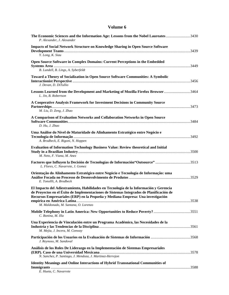| The Economic Sciences and the Information Age: Lessons from the Nobel Laureates3430<br>P. Alexander, J. Alexander                                                                                                                                                                                           |  |
|-------------------------------------------------------------------------------------------------------------------------------------------------------------------------------------------------------------------------------------------------------------------------------------------------------------|--|
| <b>Impacts of Social Network Structure on Knowledge Sharing in Open Source Software</b><br>Y. Long, K. Siau                                                                                                                                                                                                 |  |
| Open Source Software in Complex Domains: Current Perceptions in the Embedded<br>B. Lundell, B. Lings, A. Syberfeldt                                                                                                                                                                                         |  |
| <b>Toward a Theory of Socialization in Open Source Software Communities: A Symbolic</b><br>J. Devan, D. DiTullio                                                                                                                                                                                            |  |
| Lessons Learned from the Development and Marketing of Mozilla Firefox Browser3464<br>L. Jin, B. Robertson                                                                                                                                                                                                   |  |
| A Cooperative Analysis Framework for Investment Decisions in Community Source<br>M. Liu, D. Zeng, J. Zhao                                                                                                                                                                                                   |  |
| A Comparison of Evaluation Networks and Collaboration Networks in Open Source<br>D. Hu, J. Zhao                                                                                                                                                                                                             |  |
| Uma Análise do Nível de Maturidade do Alinhamento Estratégico entre Negócio e<br>A. Brodbeck, E. Rigoni, N. Hoppen                                                                                                                                                                                          |  |
| <b>Evaluation of Information Technology Business Value: Review theoretical and Initial</b><br>M. Neto, F. Viana, M. Anez                                                                                                                                                                                    |  |
| Factores que Influyen la Decisión de Tecnologías de Información"Outsource" 3513<br>L. Flores, C. Navarrete, J. Gomez                                                                                                                                                                                        |  |
| Orientação do Alinhamento Estratégico entre Negócio e Tecnologia de Informação: uma<br>E. Tonollli, A. Brodbeck                                                                                                                                                                                             |  |
| El Impacto del Adiestramiento, Habilidades en Tecnología de la Información y Gerencia<br>de Proyectos en el Éxito de Implementaciones de Sistemas Integrados de Planificación de<br>Recursos Empresariales (ERP) en la Pequeña y Mediana Empresa: Una investigación<br>M. Maldonado, M. Santana, O. Lorenzo |  |
| C. Bonina, M. Illa                                                                                                                                                                                                                                                                                          |  |
| Una Experiencia de Vinculación entre un Programa Académico, las Necesidades de la<br>M. Mejia, J. Incera, M. Conway                                                                                                                                                                                         |  |
| J. Reynoso, M. Sandoval                                                                                                                                                                                                                                                                                     |  |
| Análisis de los Roles De Liderazgo en la Implementación de Sistemas Empresariales<br>N. Sanchez, P. Santiago, J. Mendoza, J. Martinez-Herrejon                                                                                                                                                              |  |
| <b>Identity Meanings and Online Interactions of Hybrid Transnational Communities of</b><br>E. Hueta, C. Navarrete                                                                                                                                                                                           |  |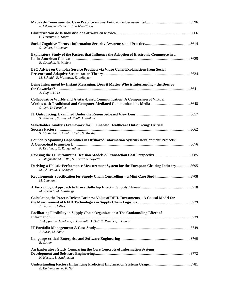| E. Vilcapoma-Escurra, J. Robles-Flores                                                                                                                         |  |
|----------------------------------------------------------------------------------------------------------------------------------------------------------------|--|
| C. Dorantes, J. Torres                                                                                                                                         |  |
| S. Galvez, I. Guzman                                                                                                                                           |  |
| Exploratory Study of the Factors that Influence the Adoption of Electronic Commerce in a<br>E. Grandon, N. Poblete                                             |  |
| B2C Advice on Complex Service Products via Video Calls: Explanations from Social<br>M. Schmidt, R. Walczuch, K. deRuyter                                       |  |
| Being Interrupted by Instant Messaging: Does it Matter Who is Interrupting - the Boss or<br>A. Gupta, H. Li                                                    |  |
| <b>Collaborative Worlds and Avatar-Based Communication: A Comparison of Virtual</b><br>S. Goh, D. Paradice                                                     |  |
| S. Wunnava, S. Ellis, M. Kroll, J. Watkins                                                                                                                     |  |
| <b>Stakeholder Analysis Framework for IT Enabled Healthcare Outsourcing: Critical</b><br>S. Chatterjee, L. Obal, B. Tulu, S. Murthy                            |  |
| <b>Boundary Spanning Capabilities in Offshored Information Systems Development Projects:</b><br>P. Krishman, C. Ranganathan                                    |  |
| Revising the IT Outsourcing Decision Model: A Transaction Cost Perspective 3685<br>F. Alaghehband, S. Wu, S. Rivard, S. Goyette                                |  |
| Deriving a Holistic Performance Measurement System for the European Clearing Industry3695<br>M. Chlistalla, T. Schaper                                         |  |
| Requirements Specification for Supply Chain Controlling - a Mini Case Study3708<br>M. Laumann                                                                  |  |
| M. Zarandi, M. Avazbeigi                                                                                                                                       |  |
| Calculating the Process Driven Business Value of RFID Investments - A Causal Model for<br>J. Becker, L. Vilkov                                                 |  |
| <b>Facilitating Flexibility in Supply Chain Organizations: The Confounding Effect of</b><br>J. Skipper, W. Landrum, J. Huscroft, D. Hall, T. Peachey, J. Hanna |  |
| J. Burke, M. Shaw                                                                                                                                              |  |
| E. Ortner                                                                                                                                                      |  |
| An Exploratory Study Comparing the Core Concepts of Information Systems<br>N. Hassan, L. Mathiassen                                                            |  |
| B. Eschenbrenner, F. Nah                                                                                                                                       |  |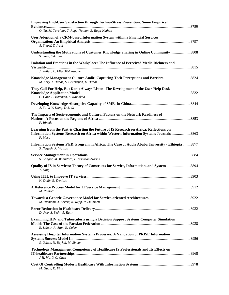| <b>Improving End-User Satisfaction through Techno-Stress Prevention: Some Empirical</b>                                                                                                     |  |
|---------------------------------------------------------------------------------------------------------------------------------------------------------------------------------------------|--|
| Q. Tu, M. Tarafdar, T. Ragu-Nathan, B. Ragu-Nathan                                                                                                                                          |  |
| User Adoption of a CRM-based Information System within a Financial Services<br>A. Sharif, Z. Irani                                                                                          |  |
| Understanding the Motivations of Customer Knowledge Sharing in Online Community3808<br>S. Shek, C-L. Sia                                                                                    |  |
| Isolation and Emotions in the Workplace: The Influence of Perceived Media Richness and<br>J. Pallud, C. Elie-Dit-Cosaque                                                                    |  |
| Knowledge Management Culture Audit: Capturing Tacit Perceptions and Barriers3824<br>M. Levy, I. Hadar, S. Greenspan, E. Hadar                                                               |  |
| They Call For Help, But Don't Always Listen: The Development of the User-Help Desk                                                                                                          |  |
| C. Carr, P. Bateman, S. Navlakha<br>A. Yu, X-Y. Dong, D-J. Qi                                                                                                                               |  |
| The Impacts of Socio-economic and Cultural Factors on the Network Readiness of<br>P. Ifinedo                                                                                                |  |
| Learning from the Past & Charting the Future of IS Research on Africa: Reflections on<br>Information Systems Research on Africa within Western Information Systems Journals 3863<br>P. Meso |  |
| Information Systems Ph.D. Program in Africa: The Case of Addis Ababa University - Ethiopia 3877<br>S. Negash, R. Watson                                                                     |  |
| S. Conger, M. Winniford, L. Erickson-Harris                                                                                                                                                 |  |
| Quality of IS in Services: Theory of Constructs for Service, Information, and System 3894<br>Y. Ding                                                                                        |  |
| K. Duffy, B. Denison                                                                                                                                                                        |  |
| M. Rohloff                                                                                                                                                                                  |  |
| M. Niemann, J. Eckert, N. Repp, R. Steinmetz                                                                                                                                                |  |
| D. Poo, S. Sethi, A. Ratty                                                                                                                                                                  |  |
| <b>Examining HIV and Tuberculosis using a Decision Support Systems Computer Simulation</b><br>R. Lebcir, R. Atun, R. Coker                                                                  |  |
| <b>Assessing Hospital Information Systems Processes: A Validation of PRISE Information</b><br>S. Ozkan, N. Baykal, M. Sincan                                                                |  |
| <b>Technology Management Competency of Healthcare IS Professionals and Its Effects on</b><br>J-H. Wu, Y-C. Chen                                                                             |  |
| M. Guah, K. Fink                                                                                                                                                                            |  |